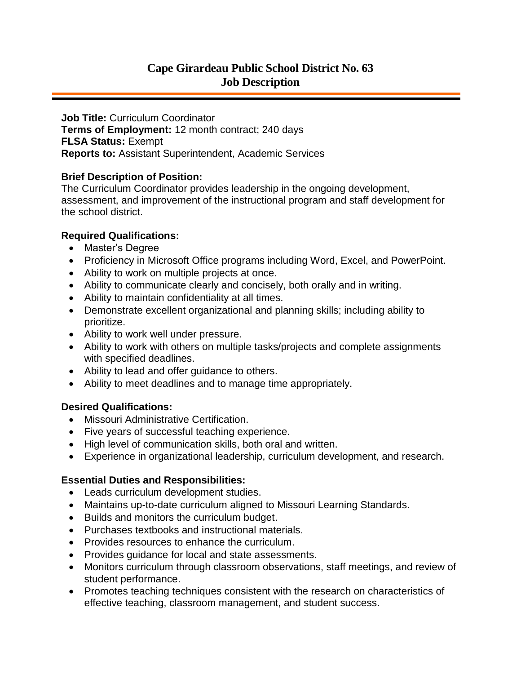**Job Title:** Curriculum Coordinator **Terms of Employment:** 12 month contract; 240 days **FLSA Status:** Exempt **Reports to:** Assistant Superintendent, Academic Services

# **Brief Description of Position:**

The Curriculum Coordinator provides leadership in the ongoing development, assessment, and improvement of the instructional program and staff development for the school district.

# **Required Qualifications:**

- Master's Degree
- Proficiency in Microsoft Office programs including Word, Excel, and PowerPoint.
- Ability to work on multiple projects at once.
- Ability to communicate clearly and concisely, both orally and in writing.
- Ability to maintain confidentiality at all times.
- Demonstrate excellent organizational and planning skills; including ability to prioritize.
- Ability to work well under pressure.
- Ability to work with others on multiple tasks/projects and complete assignments with specified deadlines.
- Ability to lead and offer guidance to others.
- Ability to meet deadlines and to manage time appropriately.

### **Desired Qualifications:**

- Missouri Administrative Certification.
- Five years of successful teaching experience.
- High level of communication skills, both oral and written.
- Experience in organizational leadership, curriculum development, and research.

# **Essential Duties and Responsibilities:**

- Leads curriculum development studies.
- Maintains up-to-date curriculum aligned to Missouri Learning Standards.
- Builds and monitors the curriculum budget.
- Purchases textbooks and instructional materials.
- Provides resources to enhance the curriculum.
- Provides guidance for local and state assessments.
- Monitors curriculum through classroom observations, staff meetings, and review of student performance.
- Promotes teaching techniques consistent with the research on characteristics of effective teaching, classroom management, and student success.